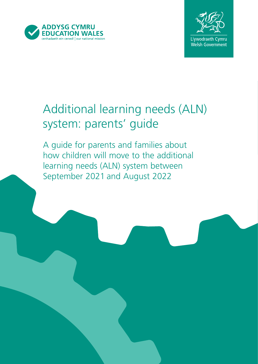



# Additional learning needs (ALN) system: parents' guide

A guide for parents and families about how children will move to the additional learning needs (ALN) system between September 2021 and August 2022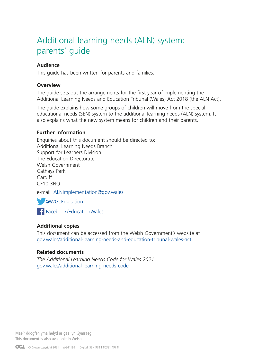# Additional learning needs (ALN) system: parents' guide

#### **Audience**

This guide has been written for parents and families.

#### **Overview**

The guide sets out the arrangements for the first year of implementing the Additional Learning Needs and Education Tribunal (Wales) Act 2018 (the ALN Act).

The guide explains how some groups of children will move from the special educational needs (SEN) system to the additional learning needs (ALN) system. It also explains what the new system means for children and their parents.

#### **Further information**

Enquiries about this document should be directed to: Additional Learning Needs Branch Support for Learners Division The Education Directorate Welsh Government Cathays Park **Cardiff** CF10 3NQ

e-mail: ALNimplementation@gov.wales

**WG\_Education** 

**F** [Facebook/EducationWales](http://www.facebook.com/educationwales/)

#### **Additional copies**

This document can be accessed from the Welsh Government's website at [gov.wales/additional-learning-needs-and-education-tribunal-wales-act](http://gov.wales/additional-learning-needs-and-education-tribunal-wales-act)

#### **Related documents**

*The Additional Learning Needs Code for Wales 2021* [gov.wales/additional-learning-needs-code](http://gov.wales/additional-learning-needs-code)

Mae'r ddogfen yma hefyd ar gael yn Gymraeg. This document is also available in Welsh.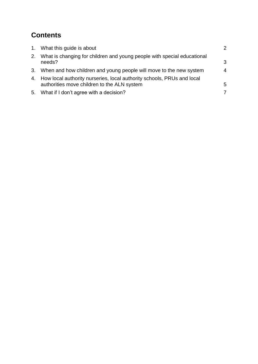# **Contents**

| 1. What this guide is about                                                                                              | $\mathcal{P}$    |
|--------------------------------------------------------------------------------------------------------------------------|------------------|
| 2. What is changing for children and young people with special educational<br>needs?                                     | 3                |
| 3. When and how children and young people will move to the new system                                                    | $\boldsymbol{4}$ |
| 4. How local authority nurseries, local authority schools, PRUs and local<br>authorities move children to the ALN system | 5                |
| 5. What if I don't agree with a decision?                                                                                | 7                |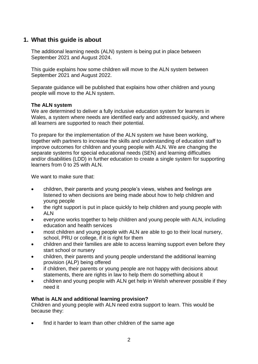# <span id="page-3-0"></span>**1. What this guide is about**

The additional learning needs (ALN) system is being put in place between September 2021 and August 2024.

This guide explains how some children will move to the ALN system between September 2021 and August 2022.

Separate guidance will be published that explains how other children and young people will move to the ALN system.

#### **The ALN system**

We are determined to deliver a fully inclusive education system for learners in Wales, a system where needs are identified early and addressed quickly, and where all learners are supported to reach their potential.

To prepare for the implementation of the ALN system we have been working, together with partners to increase the skills and understanding of education staff to improve outcomes for children and young people with ALN. We are changing the separate systems for special educational needs (SEN) and learning difficulties and/or disabilities (LDD) in further education to create a single system for supporting learners from 0 to 25 with ALN.

We want to make sure that:

- children, their parents and young people's views, wishes and feelings are listened to when decisions are being made about how to help children and young people
- the right support is put in place quickly to help children and young people with ALN
- everyone works together to help children and young people with ALN, including education and health services
- most children and young people with ALN are able to go to their local nursery, school, PRU or college, if it is right for them
- children and their families are able to access learning support even before they start school or nursery
- children, their parents and young people understand the additional learning provision (ALP) being offered
- if children, their parents or young people are not happy with decisions about statements, there are rights in law to help them do something about it
- children and young people with ALN get help in Welsh wherever possible if they need it

#### **What is ALN and additional learning provision?**

Children and young people with ALN need extra support to learn. This would be because they:

find it harder to learn than other children of the same age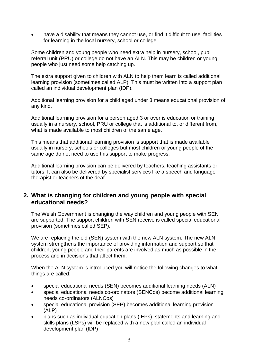have a disability that means they cannot use, or find it difficult to use, facilities for learning in the local nursery, school or college

Some children and young people who need extra help in nursery, school, pupil referral unit (PRU) or college do not have an ALN. This may be children or young people who just need some help catching up.

The extra support given to children with ALN to help them learn is called additional learning provision (sometimes called ALP). This must be written into a support plan called an individual development plan (IDP).

Additional learning provision for a child aged under 3 means educational provision of any kind.

Additional learning provision for a person aged 3 or over is education or training usually in a nursery, school, PRU or college that is additional to, or different from, what is made available to most children of the same age.

This means that additional learning provision is support that is made available usually in nursery, schools or colleges but most children or young people of the same age do not need to use this support to make progress.

Additional learning provision can be delivered by teachers, teaching assistants or tutors. It can also be delivered by specialist services like a speech and language therapist or teachers of the deaf.

# <span id="page-4-0"></span>**2. What is changing for children and young people with special educational needs?**

The Welsh Government is changing the way children and young people with SEN are supported. The support children with SEN receive is called special educational provision (sometimes called SEP).

We are replacing the old (SEN) system with the new ALN system. The new ALN system strengthens the importance of providing information and support so that children, young people and their parents are involved as much as possible in the process and in decisions that affect them.

When the ALN system is introduced you will notice the following changes to what things are called:

- special educational needs (SEN) becomes additional learning needs (ALN)
- special educational needs co-ordinators (SENCos) become additional learning needs co-ordinators (ALNCos)
- special educational provision (SEP) becomes additional learning provision (ALP)
- plans such as individual education plans (IEPs), statements and learning and skills plans (LSPs) will be replaced with a new plan called an individual development plan (IDP)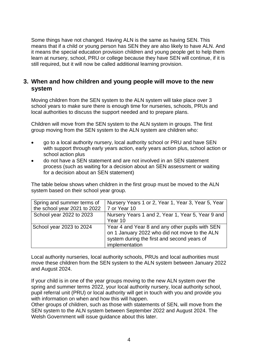Some things have not changed. Having ALN is the same as having SEN. This means that if a child or young person has SEN they are also likely to have ALN. And it means the special education provision children and young people get to help them learn at nursery, school, PRU or college because they have SEN will continue, if it is still required, but it will now be called additional learning provision.

# <span id="page-5-0"></span>**3. When and how children and young people will move to the new system**

Moving children from the SEN system to the ALN system will take place over 3 school years to make sure there is enough time for nurseries, schools, PRUs and local authorities to discuss the support needed and to prepare plans.

Children will move from the SEN system to the ALN system in groups. The first group moving from the SEN system to the ALN system are children who:

- go to a local authority nursery, local authority school or PRU and have SEN with support through early years action, early years action plus, school action or school action plus
- do not have a SEN statement and are not involved in an SEN statement process (such as waiting for a decision about an SEN assessment or waiting for a decision about an SEN statement)

The table below shows when children in the first group must be moved to the ALN system based on their school year group.

| Spring and summer terms of   | Nursery Years 1 or 2, Year 1, Year 3, Year 5, Year |
|------------------------------|----------------------------------------------------|
| the school year 2021 to 2022 | 7 or Year 10                                       |
| School year 2022 to 2023     | Nursery Years 1 and 2, Year 1, Year 5, Year 9 and  |
|                              | Year 10                                            |
| School year 2023 to 2024     | Year 4 and Year 8 and any other pupils with SEN    |
|                              | on 1 January 2022 who did not move to the ALN      |
|                              | system during the first and second years of        |
|                              | implementation                                     |

Local authority nurseries, local authority schools, PRUs and local authorities must move these children from the SEN system to the ALN system between January 2022 and August 2024.

If your child is in one of the year groups moving to the new ALN system over the spring and summer terms 2022, your local authority nursery, local authority school, pupil referral unit (PRU) or local authority will get in touch with you and provide you with information on when and how this will happen.

Other groups of children, such as those with statements of SEN, will move from the SEN system to the ALN system between September 2022 and August 2024. The Welsh Government will issue guidance about this later.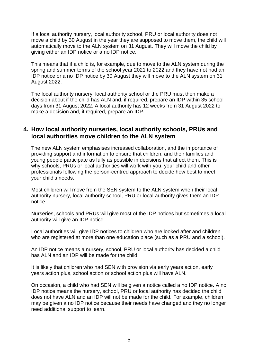If a local authority nursery, local authority school, PRU or local authority does not move a child by 30 August in the year they are supposed to move them, the child will automatically move to the ALN system on 31 August. They will move the child by giving either an IDP notice or a no IDP notice.

This means that if a child is, for example, due to move to the ALN system during the spring and summer terms of the school year 2021 to 2022 and they have not had an IDP notice or a no IDP notice by 30 August they will move to the ALN system on 31 August 2022.

The local authority nursery, local authority school or the PRU must then make a decision about if the child has ALN and, if required, prepare an IDP within 35 school days from 31 August 2022. A local authority has 12 weeks from 31 August 2022 to make a decision and, if required, prepare an IDP.

#### <span id="page-6-0"></span>**4. How local authority nurseries, local authority schools, PRUs and local authorities move children to the ALN system**

The new ALN system emphasises increased collaboration, and the importance of providing support and information to ensure that children, and their families and young people participate as fully as possible in decisions that affect them. This is why schools, PRUs or local authorities will work with you, your child and other professionals following the person-centred approach to decide how best to meet your child's needs.

Most children will move from the SEN system to the ALN system when their local authority nursery, local authority school, PRU or local authority gives them an IDP notice.

Nurseries, schools and PRUs will give most of the IDP notices but sometimes a local authority will give an IDP notice.

Local authorities will give IDP notices to children who are looked after and children who are registered at more than one education place (such as a PRU and a school).

An IDP notice means a nursery, school, PRU or local authority has decided a child has ALN and an IDP will be made for the child.

It is likely that children who had SEN with provision via early years action, early years action plus, school action or school action plus will have ALN.

On occasion, a child who had SEN will be given a notice called a no IDP notice. A no IDP notice means the nursery, school, PRU or local authority has decided the child does not have ALN and an IDP will not be made for the child. For example, children may be given a no IDP notice because their needs have changed and they no longer need additional support to learn.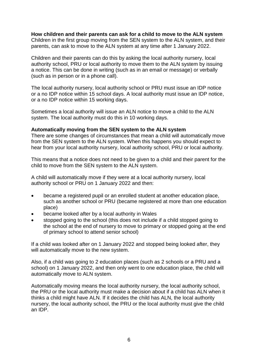# **How children and their parents can ask for a child to move to the ALN system**

Children in the first group moving from the SEN system to the ALN system, and their parents, can ask to move to the ALN system at any time after 1 January 2022.

Children and their parents can do this by asking the local authority nursery, local authority school, PRU or local authority to move them to the ALN system by issuing a notice. This can be done in writing (such as in an email or message) or verbally (such as in person or in a phone call).

The local authority nursery, local authority school or PRU must issue an IDP notice or a no IDP notice within 15 school days. A local authority must issue an IDP notice, or a no IDP notice within 15 working days.

Sometimes a local authority will issue an ALN notice to move a child to the ALN system. The local authority must do this in 10 working days.

#### **Automatically moving from the SEN system to the ALN system**

There are some changes of circumstances that mean a child will automatically move from the SEN system to the ALN system. When this happens you should expect to hear from your local authority nursery, local authority school, PRU or local authority.

This means that a notice does not need to be given to a child and their parent for the child to move from the SEN system to the ALN system.

A child will automatically move if they were at a local authority nursery, local authority school or PRU on 1 January 2022 and then:

- became a registered pupil or an enrolled student at another education place, such as another school or PRU (became registered at more than one education place)
- became looked after by a local authority in Wales
- stopped going to the school (this does not include if a child stopped going to the school at the end of nursery to move to primary or stopped going at the end of primary school to attend senior school)

If a child was looked after on 1 January 2022 and stopped being looked after, they will automatically move to the new system.

Also, if a child was going to 2 education places (such as 2 schools or a PRU and a school) on 1 January 2022, and then only went to one education place, the child will automatically move to ALN system.

Automatically moving means the local authority nursery, the local authority school, the PRU or the local authority must make a decision about if a child has ALN when it thinks a child might have ALN. If it decides the child has ALN, the local authority nursery, the local authority school, the PRU or the local authority must give the child an IDP.